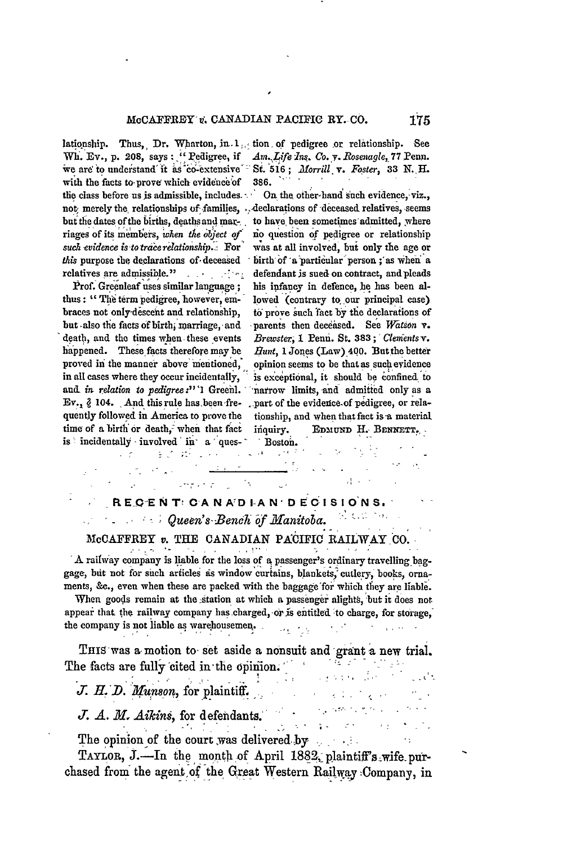Wh. Ev., p. 208, says: "Pedigree, if  $Am$ . Life Ins. Co. v. Rosenagle, 77 Penn. we are to understand it as co-extensive St. 516; *Morrill v. Foster*, 33 N. H. **with** the facts to prove which evidenee of **386.** the class before **us** is admissible, includes--' **On** the other-band such evidence, viz., not merely the relationships of families, odeclarations of deceased relatives, seems but the dates of the births, deaths and mar-, to have been sometimes admitted, where riages of its members, when the *object of* no question of pedigree or relationship *such evidence is to trace relationship.* For was at all involved, but only the age or *this* purpose **the** declarations of. deceased birth of a particular person ;'as when 'a

thus: "The term pedigree, however, em- lowed (contrary to our principal case) braces not only descent and relationship, to prove such fact by the declarations of but also the facts of birth, marriage, and -parents then deceased. See *Watson* **v.** death, and the times when these events *Brewster-* **I** Penn. St. 383; *'Clementsv.* happened. These facts therefore may be *Hunt,* 1 Jones (Law) 400. But the better proved in the manner above mentioned, opinion seems to be that as such evidence in all cases where they occur incidentally, **'** and *in relation to pedigree*:" '1 Greenl. 'narrow limits, and admitted only as a  $Ev_i$   $\delta$  104. And this rule has been fre- . part of the evidence of pedigree, or relaquently followed in America to prove the tionship, and when that fact is a material time of a birth or death, when that fact inquiry. EDMUND H. BENNETT. is incidentally involved ' **ii** a ques- **-** Boston.

> $1.5 - 1.4$  $\mathcal{L}^{\text{max}}(\mathcal{L}^{\text{max}})$

 $\mathcal{L}^{\pm}$ 

lationship. Thus,, Dr. Wharton, *in.* **1;,** tion, of pedigree or relationship. See

relatives are admissible." . . . . . . . . . . . . defendant is sued on contract, and pleads Prof. Greenleaf uses similar language; his infancy in defence, he has been al**is** exceptional, it should **be** .onfined. to

Control of Control Control

والمتعادل والمهام معقولها والمنافذ  $\left\langle \left( \xi, \hat{S} \right) \right\rangle \left( \xi, \hat{S} \right) \left( \left( \xi, \hat{S} \right) \right) = \left\langle \left( \hat{S} \right) \right\rangle \left( \left( \hat{S} \right) \right) \left( \hat{S} \right) \left( \xi, \hat{S} \right) \right\rangle$ 

## ほご ゆうい しょくせいげき  $\sim$   $\sim$   $\epsilon$

## **REOENT! OANADIAN DEGISIO NS .** - ' *Quee's- Bench: of Mlanitoba.* Si Citi To, McCAFFREY v. THE CANADIAN PACIFIC RAILWAY CO.

 $\omega^{\mu\nu} \tau^{\mu\nu} \lambda^{\nu\nu} \tau^{\nu\nu} \tau^{\nu\nu}$ 

**A** railway company is liable for the loss of a passenger's ordinary travelling baggage, but not for such articles as window curtains, blankets, cutlery, books, ornaments, &c., even when these are packed with the baggage for which they are liable.

When goods remain at the station at which a passenger alights, but it does not appear that the railway company has charged, or is entitled to charge, for storage, the company is not liable as warehousemen.

**TgHIS** was a motion to. set aside a nonsuit and grant **a** new trial. The facts are fully cited in the opinion.' $\begin{bmatrix} 1 & 1 \\ 0 & 1 \end{bmatrix}$ 4. V 7.

*,T* H.D. *Munson,* for plaintiff,

*J A. M Aikins,* for defendants.''

The opinion of the court was delivered by  $\mathcal{L}$ .

TAYLOR, J.-In the month of April 1882, plaintiff's wife purchased from the agent of the Great Western Railway Company, in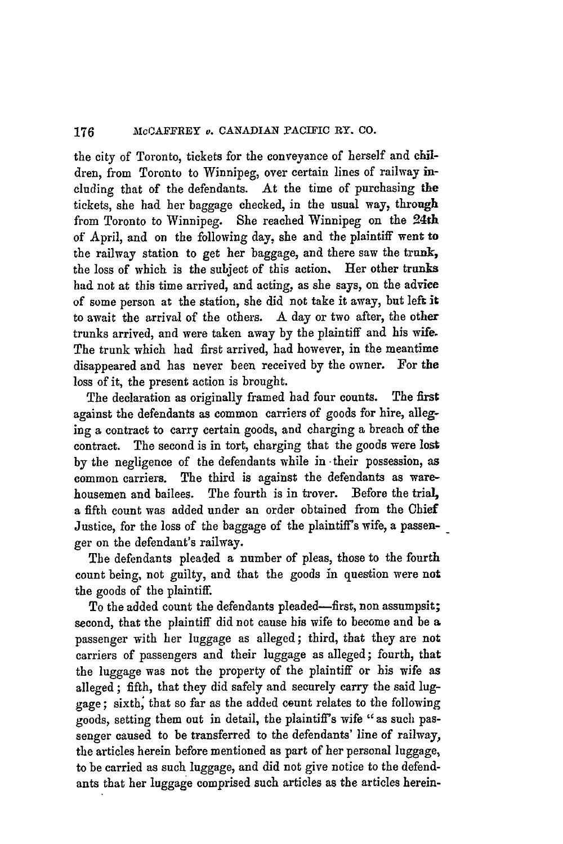## M3CAFFREY **v. CANADIAN PACIFIC RY. CO.** 176

the city of Toronto, tickets for the conveyance of herself and **chil**dren, from Toronto to Winnipeg, over certain lines of railway including that of the defendants. At the time of purchasing **the** tickets, she had her baggage checked, in the usual way, through from Toronto to Winnipeg. She reached Winnipeg on the 24th of April, and on the following day, she and the plaintiff went to the railway station to get her baggage, and there saw the trunk, the loss of which is the subject of this action. **Her** other trunks had not at this time arrived, and acting, as she says, on the advice of some person at the station, she did not take it away, but left it to await the arrival of the others. **A.** day or two after, the other trunks arrived, and were taken away **by** the plaintiff and his wife. The trunk which had first arrived, had however, in the meantime disappeared and has never been received **by** the owner. For the loss of it, the present action is brought.

The declaration as originally framed had four counts. The first against the defendants as common carriers of goods for hire, alleging a contract to carry certain goods, and charging a breach of the contract. The second is in tort, charging that the goods were lost **by** the negligence of the defendants while in their possession, as common carriers. The third is against the defendants as warehousemen and bailees. The fourth is in trover. Before the trial, a fifth count was added under an order obtained from the Chief Justice, for the loss of the baggage of the plaintiff's wife, a passenger on the defendant's railway.

The defendants pleaded a number of pleas, those to the fourth count being, not guilty, and that the goods in question were not the goods of the plaintiff.

To the added count the defendants pleaded—first, non assumpsit; second, that the plaintiff did not cause his wife to become and be a passenger with her luggage as alleged; third, that they are not carriers of passengers and their luggage as alleged; fourth, that the luggage was not the property of the plaintiff or his wife as alleged ; fifth, that they did safely and securely carry the said luggage; sixth; that so far as the added count relates to the following goods, setting them out in detail, the plaintiff's wife "as such passenger caused to be transferred to the defendants' line of railway, the articles herein before mentioned as part of her personal luggage, to be carried as such luggage, and did not give notice to the defendants that her luggage comprised such articles as the articles herein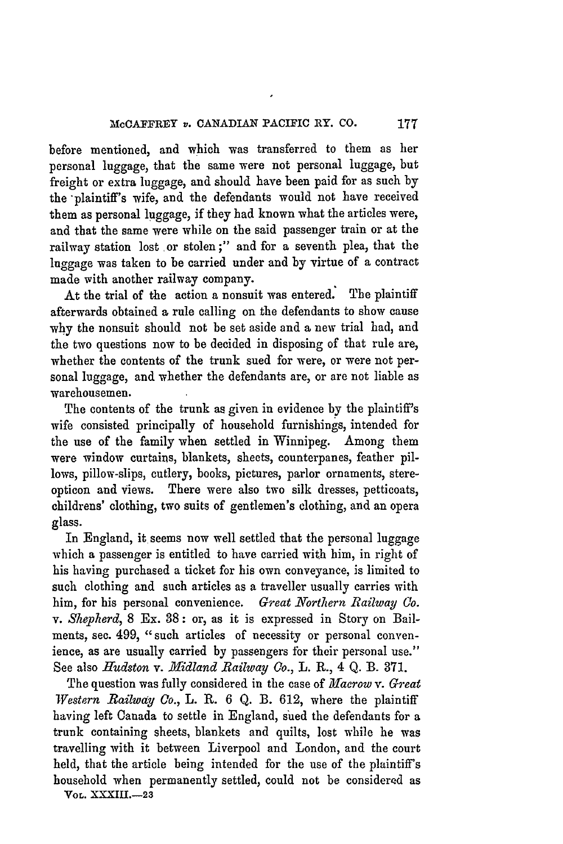before mentioned, and which was transferred to them as her personal luggage, that the same were not personal luggage, but freight or extra luggage, and should have been paid for as such by the -plaintiff's wife, and the defendants would not have received them as personal luggage, if they had known what the articles were, and that the same were while on the said passenger train or at the railway station lost or stolen;" and for a seventh plea, that the luggage was taken to be carried under and by virtue of a contract made with another railway company.

At the trial of the action a nonsuit was entered. The plaintiff afterwards obtained a rule calling on the defendants to show cause why the nonsuit should not be set aside and a new trial had, and the two questions now to **be** decided in disposing of that rule are, whether the contents of the trunk sued for were, or were not personal luggage, and whether the defendants are, or are not liable as warehousemen.

The contents of the trunk as given in evidence by the plaintiff's wife consisted principally of household furnishings, intended for the use of the family when settled in Winnipeg. Among them were window curtains, blankets, sheets, counterpanes, feather pillows, pillow-slips, cutlery, books, pictures, parlor ornaments, stereopticon and Views. There were also two silk dresses, petticoats, childrens' clothing, two suits of gentlemen's clothing, and an opera glass.

In England, it seems now well settled that the personal luggage which a passenger is entitled to have carried with him, in right of his having purchased a ticket for his own conveyance, is limited to such clothing and such articles as a traveller usually carries with him, for his personal convenience. *Great Northern Railway Co. v. Shepherd,* 8 Ex. **38:** or, as it is expressed in Story on Bailments, sec. 499, "such articles of necessity or personal convenience, as are usually carried by passengers for their personal use." See also *Hudston v. Midland Railway Co.*, L. R., 4 Q. B. 371.

The question was fully considered in the case of *Macrow v. Great Western Railway Co.,* L. R. 6 Q. B. 612, where the plaintiff having left Canada to settle in England, sued the defendants for a trunk containing sheets, blankets and quilts, lost while he was travelling with it between Liverpool and London, and the court held, that the article being intended for the use of the plaintiff's household when permanently settled, could not be considered as VoL. **XXXIII.-23**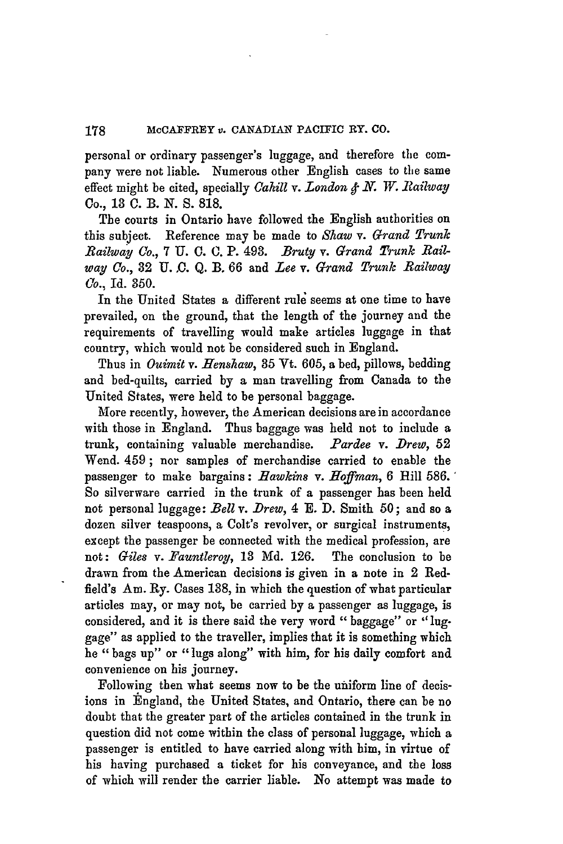personal or ordinary passenger's luggage, and therefore the company were not liable. Numerous other English cases to the same effect might be cited, specially *Cahill v. London & N. W. Railway* Co., **13 0.** B. N. S. 818.

The courts in Ontario have followed the English authorities on this subject. Reference may be made to *Shaw v. Grand Trunk Railway (Jo.,* 7 **U. C. C.** P. 493. *.Bruty* v. *Grand Trunk Railway Co.,* **32 U.0.** Q. B. 66 and *Lee* v. *Grand Trunk Railway Co.,* Id. 350.

In the United States a different rule seems at one time to have prevailed, on the ground, that the length of the journey and the requirements of travelling would make articles luggage in that country, which would not be considered such in England.

Thus in *Ouimit* v. *Henshaw,* **35** Vt. 605, a bed, pillows, bedding and bed-quilts, carried by a man travelling from Canada to the United States, were held to be personal baggage.

More recently, however, the American decisions are in accordance with those in England. Thus baggage was held not to include a trunk, containing valuable merchandise. *Pardee v. Drew,* **52** Wend. 459; nor samples of merchandise carried to enable the passenger to make bargains: *Hawkins v. Hoffman,* 6 Hill 586.' So silverware carried in the trunk of a passenger has been held not personal luggage: *Bell v. Drew,* 4 **E.** D. Smith 50; and so a dozen silver teaspoons, a Colt's revolver, or surgical instruments, except the passenger be connected with the medical profession, are not: *Giles v. Fauntleroy*, 13 Md. 126. The conclusion to be drawn from the American decisions is given in a note in 2 Redfield's Am. Ry. Cases 138, in which the question of what particular articles may, or may not, be carried by a passenger as luggage, is considered, and it is there said the very word "baggage" or "luggage" as applied to the traveller, implies that it is something which he "bags up" or "lugs along" with him, for his daily comfort and convenience on his journey.

Following then what seems now to be the uniform line of decisions in England, the United States, and Ontario, there can be no doubt that the greater part of the articles contained in the trunk in question did not come within the class of personal luggage, which a passenger is entitled to have carried along with him, in virtue of his having purchased a ticket for his conveyance, and the loss of which will render the carrier liable. No attempt was made to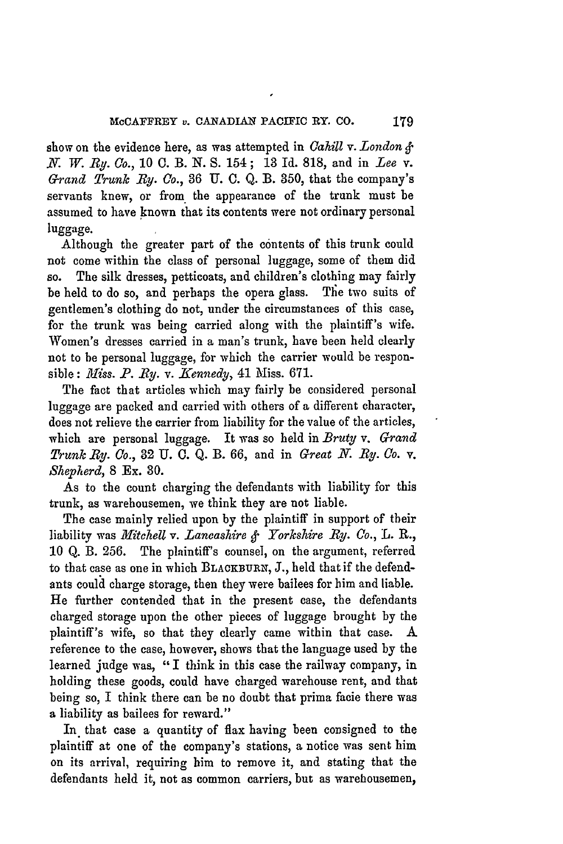show on the evidence here, as was attempted in *Cahill v. London & N. W. By. Co.,* 10 **0.** B. N. S. 154; **13** Id. 818, and in *Lee* v. *Grand Trunk BRy. Co.,* **36** U. **0.** Q. B. 350, that the company's servants knew, or from the appearance of the trunk must be assumed to have known that its contents were not ordinary personal luggage.

Although the greater part of the contents of this trunk could not come within the class of personal luggage, some of them did so. The silk dresses, petticoats, and children's clothing may fairly be held to do so, and perhaps the opera glass. The two suits of gentlemen's clothing do not, under the circumstances of this case, for the trunk was being carried along with the plaintiff's wife. Women's dresses carried in a man's trunk, have been held clearly not to be personal luggage, for which the carrier would be responsible: *Miss. P. Ry. v. Kennedy*, 41 Miss. 671.

The fact that articles which may fairly be considered personal luggage are packed and carried with others of a different character, does not relieve the carrier from liability for the value of the articles, which are personal luggage. It was so held in *Bruty v. Grand Trunk By. Co.,* **32 U. 0. Q.** B. 66, and in *Great* **N.** *By. Co. v. Shepherd,* **8** Ex. **80.**

As to the count charging the defendants with liability for this trunk, as warehousemen, we think they are not liable.

The case mainly relied upon by the plaintiff in support of their liability was *Mitchell v. Lancashire & Yorkshire By. Co.,* L. R., 10 Q. B. 256. The plaintiff's counsel, on the argument, referred to that case as one in which BLACKBURN, J., held that if the defendants could charge storage, then they were bailees for him and liable. He further contended that in the present case, the defendants charged storage upon the other pieces of luggage brought by the plaintiff's wife, so that they clearly came within that case. **A** reference to the case, however, shows that the language used by the learned judge was, *"I* think in this case the railway company, in holding these goods, could have charged warehouse rent, and that being so, I think there can be no doubt that prima facie there was **a** liability as bailees for reward."

In that case a quantity of flax having been consigned to the plaintiff at one of the company's stations, a notice was sent him on its arrival, requiring him to remove it, and stating that the defendants held it, not as common carriers, but as warehousemen,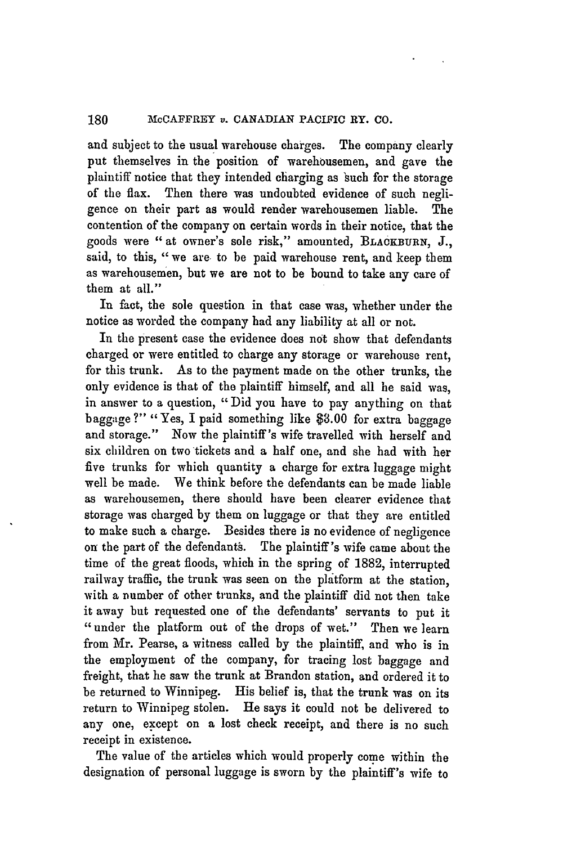## 180 McCAFFREY *v.* **CANADIAN** PACIFIC RY. **CO.**

and subject to the usual warehouse charges. The company clearly put themselves in the position of warehousemen, and gave the plaintiff notice that they intended charging as 'such for the storage of the flax. Then there was undoubted evidence of such negligence on their part as would render warehousemen liable. The contention of the company on certain words in their notice, that the goods were "at owner's sole risk," amounted, **BLACKBURN, J.,** said, to this, "we are to be paid warehouse rent, and keep them as warehousemen, but we are not to be bound to take any care of them at all."

In fact, the sole question in that case was, whether under the notice as worded the company had any liability at all or not.

In the present case the evidence does not show that defendants charged or were entitled to charge any storage or warehouse rent, for this trunk. As to the payment made on the other trunks, the only evidence is that of the plaintiff himself, and all he said was, in answer to a question, "Did you have to pay anything on that baggage ?" "Yes, I paid something like **\$3.00** for extra baggage and storage." Now the plaintiff's wife travelled with herself and six children on two tickets and a half one, and she had with her five trunks for which quantity a charge for extra luggage might well be made. We think before the defendants can be made liable as warehousemen, there should have been clearer evidence that storage was charged by them on luggage or that they are entitled to make such a charge. Besides there is no evidence of negligence on the part of the defendant§. The plaintiff's wife came about the time of the great floods, which in the spring of 1882, interrupted railway traffic, the trunk was seen on the platform at the station, with a number of other trunks, and the plaintiff did not then take it away but requested one of the defendants' servants to put it "under the platform out of the drops of wet." Then we learn from Mr. Pearse, a witness called by the plaintiff, and who is in the employment of the company, for tracing lost baggage and freight, that he saw the trunk at Brandon station, and ordered it to be returned to Winnipeg. His belief is, that the trunk was on its return to Winnipeg stolen. He says it could not be delivered to any one, except on **a** lost check receipt, and there is no such receipt in existence.

The value of the articles which would properly come within the designation of personal luggage is sworn **by** the plaintiff's wife to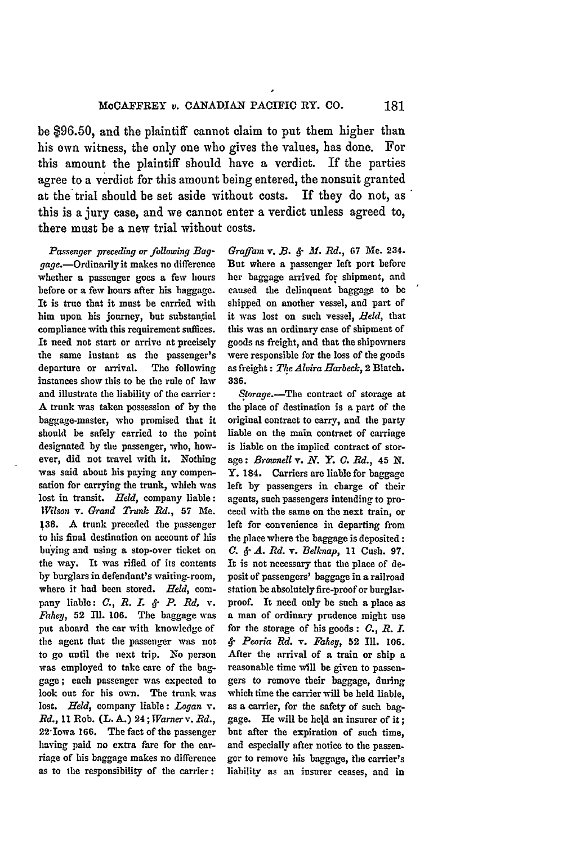be **\$96.50,** and the plaintiff cannot claim to put them higher than his own witness, the only one who gives the values, has done. For this amount the plaintiff should have a verdict. If the parties agree to a verdict for this amount being entered, the nonsuit granted at the'trial should be set aside without costs. If they do not, as this is a jury case, and we cannot enter a verdict unless agreed to, there must be a new trial without costs.

*Passenger preceding or following Bag*gage.-Ordinarily it makes no difference whether a passenger goes a few hours before or a few hours after his baggage. It is true that it must be carried with him upon his journey, but substantial compliance with this requirement suffices. It need not start or arrive at precisely the same instant as the passenger's departure or arrival. The following instances show this to be the rule of law and illustrate the liability of the carrier: **A** trunk was taken possession of by the baggage-master, who promised that it should be safely carried to the point designated by *the* passenger, who, however, did not travel with it. Nothing was said about his paying any compensation for carrying the trunk, which was lost in transit. *Held,* company liable: *Wilson v. Grand Trunk Rd.,* **57** Me. **138. A** trunk preceded the passenger to his final destination on account of his buying and using **a** stop-over ticket on the way. It was rifled of its contents **by** burglars in defendant's waiting-room, where it had been stored. *Held,* company liable: *C., R. I.* **4-** *P. Rd,* v. *Fahey,* **52 Ill. 106.** The baggage was put aboard the car with knowledge of the agent that the passenger was not to go until the next trip. No person was employed to take care of the baggage; each passenger was expected to look out for his own. The trunk was lost. *Held,* company liable: *Logan v. Rd.,* 11 Rob. (L. A.) *24;Warnerv. Rd.,* 22 Iowa 166. The fact of the passenger having paid no extra fare for the carriage of his baggage makes no difference as to the responsibility of the carrier:

*Graffam v. B. 6- M. Rd.,* **67** Ale. 234. But where **a** passenger left port before her baggage arrived for shipment, and caused the delinquent baggage to **be** shipped on another vessel, and part of it was lost on such vessel, *Reld,* that this was an ordinary case of shipment of goods as freight, and that the shipowners were responsible for the loss of the goods as freight: *The Alvira Harbeck,* 2 Blatch. **336.**

*Storage.-The* contract of storage at the place of destination is a part of the original contract to carry, and the party liable on the main contract of carriage is liable on the implied contract of storage: *Brownell v. N. Y. C. Rd.,* 45 **N.** Y. 184. Carriers are liable for baggage left **by** passengers in charge of their agents, such passengers intending to proceed with the same on the next train, or left for convenience in departing from the place where the baggage is deposited **:** *C. 4- A. Rd. v. Belknap,* **11** Cush. **97.** It is not necessary that the place of deposit of passengers' baggage in **a** railroad station be absolutely fire-proof or burglarproof. It need only be such a place as a man of ordinary prudence might use for the storage of his goods **:** 0., *R. I. 4- Peoria Rd. v. Faheg,* **52** Ill. 106. After the arrival of a train or ship a reasonable time **will** be given to passengers to remove their baggage, during which time the carrier will be held liable, as a carrier, for the safety of such baggage. He will be held an insurer of it; **but** after the expiration of such time, and especially after notice to the passenger to remove his baggage, the carrier's liability as an insurer ceases, and in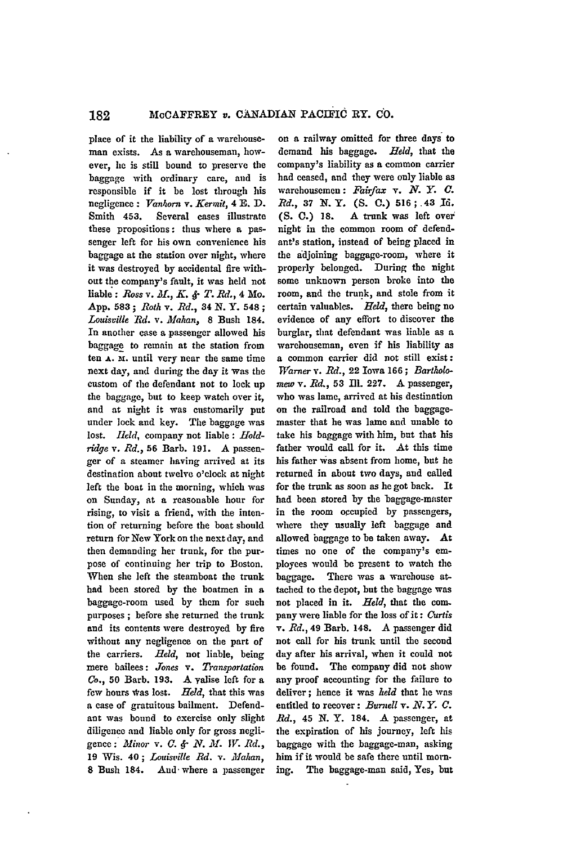place of it the liability of a warehouseman exists. As a warehouseman, however, lie is still bound to preserve the baggage with ordinary care, and is responsible if it be lost through his negligence **:** *Vanhorn v. Kerrait, 4 .* **D.** Smith 453. Several cases illustrate these propositions: thus where a passenger left for his own convenience his baggage at the station over night, where it was destroyed **by** accidental fire without the company's fault, it was held not liable **:** *Ross* v. *Hl., K. 4- T. Rd.,* 4 Mo. **App. 583;** *Roth v. Rd.,* 34 *N.* Y. 548; *Louisville Rd. v. Mahan*, 8 Bush 184. In another case a passenger allowed his baggage to remain at the station from ten A. M. until very near the same time next day, and during the day it was the custom of the defendant not to lock up the baggage, but to keep watch over it, and at night it was customarily put under lock and key. The baggage was lost. *Ield,* company not liable: *Holdridge v. Rd.,* **56** Barb. 191. **A** passenger of a steamer having arrived at its destination about twelve o'clock at night left the boat in the morning, which was on Sunday, at a reasonable hour for rising, to visit a friend, with the inten**tion** of returning before the boat should return for New York on the next day, and then demanding her trunk, for the purpose of continuing her trip to Boston. When she **left** the steamboat the trunk had been stored by the boatmen in a baggage-room used by them for such purposes **;** before she returned the trunk and its contents were destroyed **by** fire without any negligence on the part of the carriers. *Held,* not liable, being mere bailees: *Jones v. Transportation* Co., **50** Barb. **193. A** yalise left for **a** few hours was lost. *Held*, that this was a case of gratuitous bailment. Defend**ant** was bound to exercise only slight diligence and liable only for gross negligence: *Minor v. C. 4- N. J1. IV. Rd.,* **19** Wis. 40 **;** *Louisville Rd. v. Mahan,* 8 Bush 184. And where a passenger

on a railway omitted for three days to demand his baggage. *Held,* that the company's liability as a common carrier had ceased, and they were only liable as warehousemen: *Fairfax v. N. Y. C. Rd.,* **37 N.** Y. **(S. C.) 516 ; .43 JId. (S. C.) 18. A** trunk was left over night in the common room of defendant's station, instead of being placed in the adjoining baggage-room, where it properly belonged. During the night some unknown person broke into the room, and the trunk, and stole from it certain valuables. *Held,* there being no evidence of any effort to discover the burglar, that defendant was liable as a warehouseman, even if his liability as a common carrier did not still exist: *Marner v. Rd.,* 22 Iowa **166 ;** *Bartholomew* v. *Rd.,* **53** Ill. **227. A** passenger, who was lame, arrived at his destination on the railroad and told the baggagemaster that he was lame and unable to take his baggage with him, but that his father would call for it. At this time his father was absent from home, but he returned in about two days, and called for the trunk as soon as he got back. It had been stored by the baggage-master in the room occupied by passengers, where they usually left baggage and allowed baggage to be taken away. At times no one of the company's employees would be present to watch the baggage. There was a warehouse attached to the depot, but the baggage was not placed in it. *Held,* that the company were liable for the loss of **it:** *Curtis* v. *Rd.,* 49 Barb. 148. **A** passenger did not call for his trunk until the second **day** after his arrival, when it could not be found. The company did not show any proof accounting for the failure to deliver **;** hence it was *held* that lie was entitled to recover: *Burnell* v. *N. Y. C. Rd.,* 45 *N.* Y. 184. **A** passenger, at the expiration of his journey, left his baggage with the baggage-man, asking him if it would be safe there until morning. The baggage-man said, Yes, but

182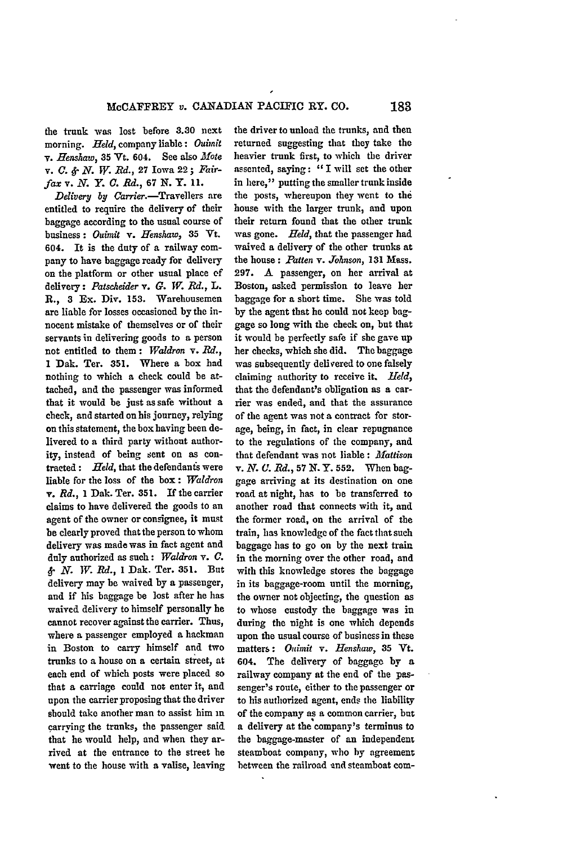the trunk was lost before **3.30** next morning. *Held,* company liable: *Ouimit v. Henshaw,* **35** Vt. 604. See also *Mote* v. *C. 6- N. W* **.***Rd.,* **27** Iowa 22; *Fairfax v. N. Y. C. Rd.,* **67 N.** Y. **11.**

Delivery by Carrier.-Travellers are entitled to require the delivery of their baggage according to the usual course of business: *Ouimit* v. *Henshaw,* **35** Vt. 604. It is the duty of a railway company to have baggage ready for delivery on the platform or other usual place **of** delivery: *Patscheider v. G. W. Rd.,* L. **R., 3** Ex. Div. **153.** Warehousemen are liable for losses occasioned by the innocent mistake of themselves or of their servants in delivering goods to a person not entitled to them **:** *Waldron v. Rd.,* 1 Dak. Ter. **351.** Where a box had nothing to which a check could be attached, and the passenger was informed that it would be just as safe without a check, and started on his journey, relying on this statement, the box having been delivered to a third party without authority, instead of being sent on as contracted: *Held*, that the defendants were liable for the loss of the box: *Waldron v. Rd.,* 1 Dak. Ter. **351.** If the carrier claims to have delivered the goods to an agent of the owner or consignee, it must be clearly proved that the person to whom delivery was made was in fact agent and duly authorized as such: Waldron *v. C. 6- N. I. Rd.,* **I** Dak. Ter. 351. But delivery may **be** waived by a passenger, and if his baggage be lost after he has waived delivery to himself personally **he** cannot recover against the carrier. Thus, where a passenger employed a hackman in Boston to carry himself and two trunks to a house on a certain street, at each end of which posts were placed so that a carriage could not enter it, and upon the carrier proposing that the driver should take another man to assist him in carrying the trunks, the passenger said that he would help, and when they arrived at the entrance to the street he went to the house with a valise, leaving

the driver to unload the trunks, and then returned suggesting that they take the heavier trunk first, to which the driver assented, saying: **"I** will set the other in here," putting the smaller trunk inside the posts, whereupon they went to the house with the larger trunk, and upon their return found that the other trunk was gone. *Held,* that the passenger had waived a delivery of the other trunks at the house: *Patten v. Johnson,* **131** Mess. **297.** A passenger, on her arrival at Boston, asked permission to leave her baggage for a short time. She was told by the agent that he could not keep baggage so long with the check on, but that it would be perfectly safe if she gave up her checks, which she did. The baggage was subsequently delivered to one falsely claiming authority to receive it. *Held,* that the defendant's obligation as a carrier was ended, and that the assurance of the agent was not a contract for storage, being, in fact, in clear repugnance to the regulations of the company, and that defendant was not liable **:** *Mattison* v. *N.* **U.** *Rd.,* **57 N.** Y. **552.** When baggage arriving at its destination on one road at night, has to be transferred to another road that connects with it, and the former road, on the arrival of the train, has knowledge of the fact that such baggage has to go on **by** the next train in the morning over the other road, and with this knowledge stores the baggage in its baggage-room until the morning, the owner not objecting, the question as to whose custody the baggage was in during the night is one which depends upon the usual course of business in these matters: *Onimit v. Henshaw,* **35** Vt. 604. The delivery of baggage by a railway company at the end of the passenger's route, either to the passenger or to his authorized agent, ends the liability of the company as a common carrier, but a delivery at the company's terminus to the baggage-master of an independent steamboat company, who **by** agreement between the railroad and steamboat com-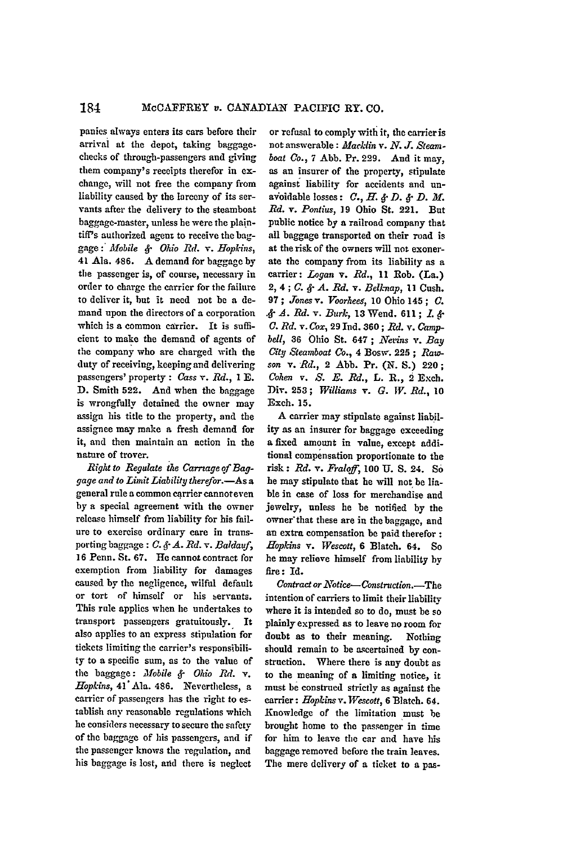panics always enters its cars before their arrival at the depot, taking baggage. checks of through-passengers and giving them company's receipts therefor in exchange, will not free the company from liability caused **by** the larceny of its servants after the delivery to the steamboat baggage-master, unless he were the plaintiff's authorized agent to receive the baggage **:** *Mobile 4- Ohio Rd. v. Hopkins,* 41 Ala. 486. A demand for baggage **by** tlhe passenger is, of course, necessary in order to charge the carrier for the failure to deliver it, hut it need not be **a de**mand upon the directors of a corporation which is a common carrier. It is sufficient to make the demand of agents of the company who are charged with the duty of receiving, keeping and delivering passengers' property: *Cass v.* **Rd.,** *I* **E. D.** Smith **522.** And when the baggage is wrongfully detained the owner may assign his title to the property, and the assignee may make a fresh demand for it, and then maintain an action in the nature of trover.

*Right to Regulate the Carnage qf Baggage and to Limit Liability therefor.-As a* general rule **a** common carrier cannoteven **by** a special agreement with the owner release himself from liability for his failure to exercise ordinary care in transporting baggage **:** *C. 4-A. Rd. v. Baldauf,* **16** Penn. St. 67. He cannot contract for exemption from liability for damages caused **by** the negligence, wilful default or tort of himself or his bervants. This rule applies when he undertakes to transport passengers gratuitously. It also applies to an express stipulation for tickets limiting the carrier's responsibility to a specific sum, as to the value of the baggage: *Mobile 4- Ohio Rd. v. Hopkins,* 41' Ala. 486. Nevertheless, a carrier of passengers has the right to establish any reasonable regulations which he considers necessary to secure the safety of the baggage of his passengers, and if the passenger knows the regulation, and his baggage is lost, arid there is neglect

or refusal to comply with it, the carrier is not answerable: *Macklin v. N.J. Steamboat Co.,* 7 **Abb.** Pr. **229. And** it may, as an insurer of the property, stipulate against liability for accidents and unaVoidahle losses: *C., H. J- D. 4- D. M. Rd. v. Pontius,* **19** Ohio St. 221. But public notice **by** a railroad company that all baggage transported on their road is at the risk of the owners will not exonerate the company from its liability as **a** carrier: Logan v. *Rd.,* 11 Rob. (La.) **2,** 4 **;** *C. 4- A. Rd.* v. *Belknap,* 11 Cush. **97 ;** *.onesv. Voorhees, 10* Ohio 145 **;** *C. .4- A. Rd. v. Burk,* 13Wend. **611;** *1.4- C. Rd. v. Cox,* **29** Ind. **360;** *Rd.* v. *Campbell*, 36 Ohio St. 647; Nevins v. Bay *City Steamboat Co.,* 4 Bos%,. **225 ;** *Rawson* v. *Rd.,* 2 **Abb. Pr. (N. S.)** 220 **;** *Cohen* v. **S.** *E. Rd.,* L. **R., 2 Exch. Div. 253;** *Williams v. G. TV. Rd.,* **10** Exeh. **15.**

**A** carrier may stipulate against liability as an insurer for baggage exceeding a fixed amount in value, except additional compensation proportionate to the risk: *Rd.* v. *Fraloff,* **100 U. S.** 24. So he may stipulate that he will not be lia**ble** in case of loss for merchandise and jewelry, unless he be notified **by** the owner'that these are in the baggage, and an extra compensation be paid therefor **:** *Hopkins* v. *Wescott,* 6 Blatch. 64. So he may relieve himself from liability by fire: Id.

*Contract or Notice-Construction.-The* intention of carriers to limit their liability where it is intended so to do, must be so plainly expressed as to leave no room for doubt as to their meaning. Nothing should remain to be ascertained **by** construction. Where there is any doubt as to the meaning of **a** limiting notice, it must be construed strictly as against the carrier: *Hopkins v. Wescott,* 6 Blatch. 64. Knowledge of the limitation must be brought home to the passenger in time for him to leave the car and have his baggage removed before the train leaves. The mere delivery of a ticket to a pas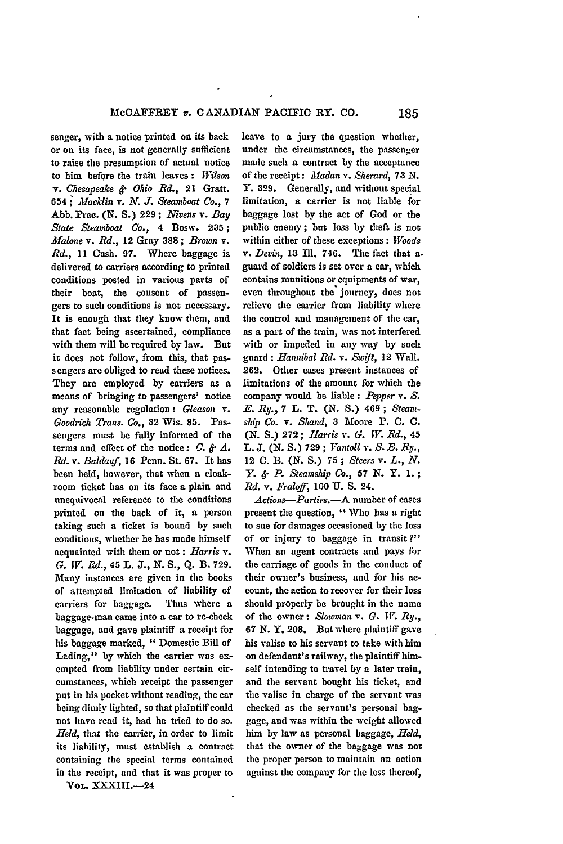senger, with a **notice** printed on its back or on its face, is not generally sufficient to raise the presumption of actual notice to him before the train leaves: *Wilson v. Chesapeake* 4- *Ohio Rd.,* 21 Gratt. 654: *Macdin* v. *t. .. Steamboat Co., 7* **Abb.** Prac. **(N. S.) 229 ;** *Nivens v. Bay State Steamboat Co.,* 4 Bosw. **235 ;** *Malone* v. *Rd.,* 12 Gray **388;** *Brown v. Rd.,* **11** Cush. **97.** Where baggage is delivered to carriers according to printed conditions posted in various parts of their boat, the consent of passengers to such conditions is not necessary. It is enough that they know them, and that fact being ascertained, compliance with them will be required **by** law. But it does not follow, from this, that pass engers are obliged to read these notices. **They** are employed **by** carriers as a means of bringing to passengers' notice any reasonable regulation: *Gleason* **v.** *Goodrich Trans. Co.,* **32** Wis. **85.** Passengers must be fully informed of the terms and effect of the notice:  $C. \nsubseteq A$ . *Rd. v. Baldauf,* **16** Penn. St. **67.** It has been held, however, that when a cloakroom ticket has on its face a plain and unequivocal reference to the conditions printed on the back of it, **a** person taking such a ticket is bound **by** such conditions, whether he has made himself acquainted with them or not **:** *Harris* v. *G. [. Rd.,* 45 L. **J.,** *N.* **S., Q.** B. **729.** Many instances are given in the books of attempted limitation of liability of carriers for baggage. Thus where a baggage-man came into a car to re-check baggage, and gave plaintiff a receipt for his baggage marked, **"** Domestic Bill of Lading," by which the carrier was exempted from liability under certain circumstances, which receipt the passenger put in his pocket without reading, the car being dimly lighted, so that plaintiff could not have read it, had he tried to do so. *Held,* that the carrier, in order to limit its liability, must establish a contract containing the special terms contained in the receipt, and that it was proper to

**VOL. XXXIII.-24**

leave to a jury the question whether, under the circumstances, the passenger made such a contract **by** the acceptance of the receipt: *Maudan v. ,Sherard,* **73 N.** Y. **329.** Generally, and without special limitation, a carrier is not liable for baggage lost by the act of God or the public enemy; but loss **by** theft is not within either of these exceptions: *Woods* v. *Devin,* **13** Ill. 746. The fact that a. guard of soldiers is set over a car, which contains munitions or equipments of war, even throughout the journey, does not relieve the carrier from liability where the control and management of the car, as a part of the train, was not interfered with or impeded in any way **by** such guard **:** *Hannibal Rd. v. Swft,* 12 Wall. **262.** Other cases present instances of limitations of the amount for which the company would be liable: *Pepper* v. **S.** *B. By.,* **7** L. T. **(N.** S.) 469 **;** *Steamship Co. v. Shand,* **3** Aloore **P. C. C. (N. S.) 272 ;** *H1arris* v. *G. R* **Rd.,** 45 L. **J. (N. S.) 729 ;** *Vantoll v. S. B. By.,* 12 **C.** B. **(N. S.) 75 ;** *Steers v. L., N. Y.* 4- *P. Steamship Co.,* **57** *N.* Y. **1.;** *Rd. v. Fraloff,* **100** U. **S.** 24.

*Actions-Parties.-A* number of cases present the question, "Who has a right to sue for damages occasioned by the loss of or injury to baggage in transit *?"* When an agent contracts and pays for the carriage of goods in the conduct of their owner's business, and for his account, the action to recover for their loss should properly be brought in the name of the owner: *Slowman v. G. IF. By.,* **67 N. Y. 208.** But where plaintiff gave his valise to his servant to take with him on defendant's railway, the plaintiff himself intending to travel **by** a later train, and the servant bought his ticket, and the valise in charge of the servant was checked as the servant's personal baggage, and was within the weight allowed him **by** law as personal **baggage,** *Held,* that the owner of the baggage was not the proper person to maintain an action against the company for the loss thereof,

185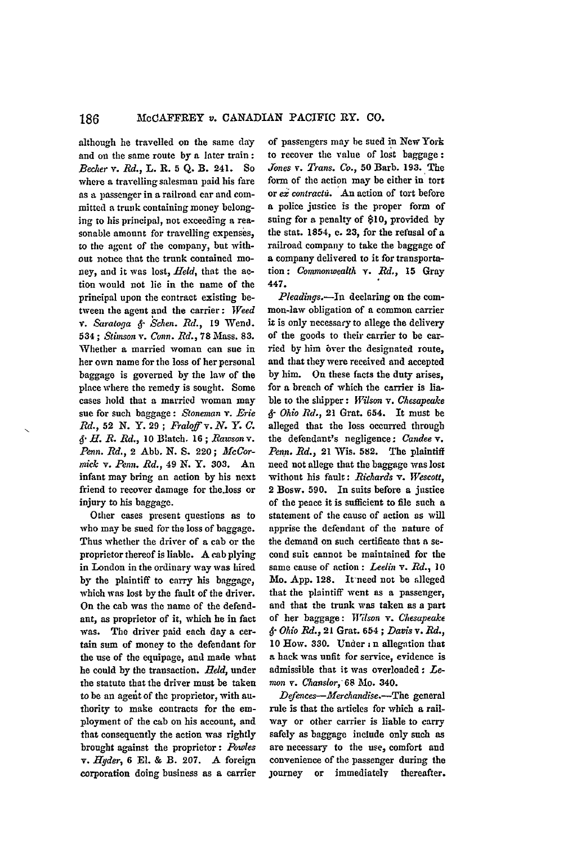although he travelled on the same day and on the same route **by** a later train **:** *Becher* v. *Rd.,* L. **R. 5 Q.** B. 241. So where a travelling salesman paid his fare as a passenger in **a** railroad car and committed a trunk containing money belonging to his principal, not exceeding a reasonable amount for travelling expenses, to the agent of the company, but without notice that the trunk contained **mo**ney, and it was lost, *Held,* that the action would not lie in the name of the principal upon the contract existing between the agent and the carrier **:** *Weed v. Saratoga 6- Schen. Rd.,* **19** Wend. 534; *Stimson v. Conn. Rd.,* 78 Mass. **83.** Whether a married woman **can** sue in her own name for the loss of her personal baggage is governed **by** the law of the place where the remedy is sought. Some cases hold that a married woman may sue for such baggage: *Stoneman v. Erie Rd.,* **52 N.** Y. **29** ; *Fraloffv. N. Y. C.* **4.** *H. R. Rd.,* 10 Blatch. 16 ; *Rawsonv. Penn. Rd.,* 2 Abb. **N. S.** 220; *McCormick v. Penn. Rd.,* 49 N. Y. **303.** An infant may bring an action by his next friend to recover damage for the.loss or injury to his baggage.

Other cases present questions as to who may be sued for the loss of baggage. Thus whether the driver of a cab or the proprietor thereof is liable. A cab plying in London in the ordinary way was hired **by** the plaintiff to carry his baggage, which was lost **by** the fault of the driver. On the cab was the name of the defendant, as proprietor of it, which he in fact was. The driver paid each day a cer**tain** sum **of** money to the defendant for the use of the equipage, and made what he could **by** the transaction. *Red,* under the statute that the driver must be taken to be an agent of the proprietor, with authority to make contracts for the employment of the cab on his account, and that consequently the action was rightly brought against the proprietor: *Powles v. Hgder,* **6 El. &** B. **207.** A foreign corporation doing business as a carrier

of passengers may be sued in New York to recover the value of lost baggage *.7ones v. Trans. Co.,* **50** Barb. **193.** The form of the action may be either in tort or *ex contractu*. An action of tort before a police justice is the proper form of suing for **a** penalty of **\$10,** provided by the stat. 1854, **c. 23,** for the refusal of a railroad company to take the baggage of a company delivered to it for transportation: *Conmonwealth* v. **Rd., 15** Gray 447.

*Pleadings.-In* declaring on the common-law obligation of a common carrier it is only necessaryto allege the delivery of the goods to their carrier to be carried by him bver the designated route, and that they were received and accepted **by** him. **On** these facts the duty arises, for a breach of which the carrier is liable to the shipper: *Wilson v. Chesapeake 6- Ohio Rd.,* 21 Grat. 654. It must be alleged that the loss occurred through the defendant's negligence: Candee *v. Penn. Rd.,* 21 Wis. **582.** The plaintiff need not allege that the baggage was lost without his fault: *Richards v. Wescott,* 2 Bosw. **590.** In suits before a justice of the peace it is sufficient to file such a statement of the cause of action as will apprise the defendant of the nature of the demand on such certificate that a second suit cannot be maintained for the same cause of action **:** *Leelin v. Rd., 10* Mo. **App. 128.** It-need not be alleged that the plaintiff went as a passenger, and that the trunk was taken as a part of her baggage: *J'ilson v. Chesapeake 6- Ohio Rd.,* 21 Grat. 654 ; *Davisv. Rd.,* **10** How. **330.** Under **:** n allegation that a hack was unfit for service, evidence is admissible that it was overloaded: *Lemon v. Chanslor,* 68 Mo. 340.

*Defences-Merchandise.-The* general rule is that the articles for which a railway or other carrier is liable to carry safely as baggage include only such as are necessary to the use, comfort and convenience of the passenger during the journey or immediately thereafter.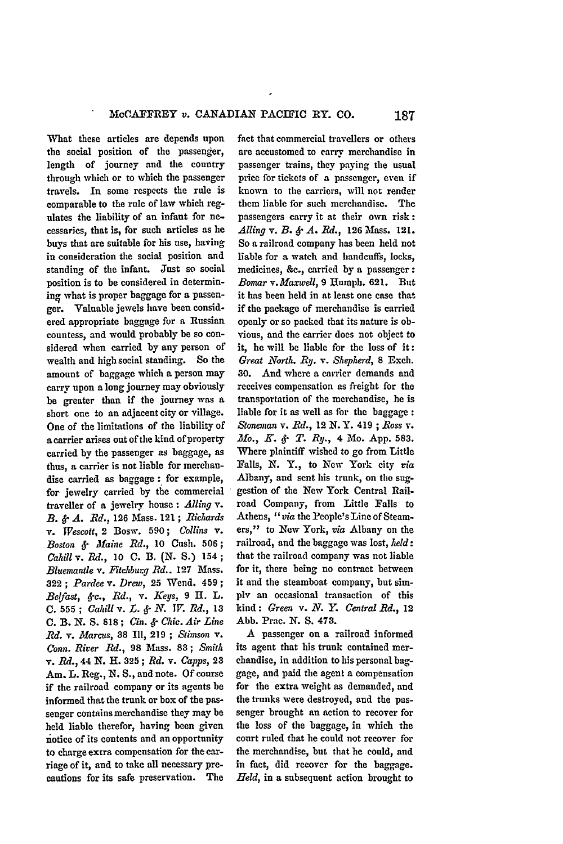What these articles are depends upon the social position of the passenger, length of journey and the country through which or to which the passenger travels. In some respects the rule is comparable to the rule of law which regulates the liability of an infant for necessaries, that is, for such articles as he buys that are suitable for his use, having in consideration the social position and standing of the infant. Just so social position is to be considered in determining what is proper baggage for a passenger. Valuable jewels have been considered appropriate baggage for a Russian countess, and would probably **be** so considered when carried **by** any person of wealth and high social standing. So the amount of baggage which a person may carry upon a long journey may obviously be greater than if the journey was a short one to an adjacent city or village. One of the limitations of the liability of **a** carrier arises out of the kind of property carried **by** the passenger as baggage, as thus, a carrier is not liable for merchandise carried as baggage: for example, for jewelry carried **by** the commercial traveller of a jewelry house: *Ailing v. B.* 4- *A. Rd.:* **126** Mass. 121; *Richards v. Wescott,* 2 Bosw. 590; *Collins* v. *Boston* **4-** *Maine Rd.,* **10** Cush. **506;** *Cahill v. Rd.,* **10 C.** B. (N. **S.)** 154; *Bluemantle v. Fitchburg Rd.*, 127 Mass. **322** ; *Pardee v. Drew,* **25** Wend. 459 **;** *Belfast, 4-c., Rd., v. Keys,* **9** H. L. **C. 555** *; Cahill v. L. 4-N I.TV. Rd.,* **13 C.** B. *N.* **S. 818** ; *Cin. 4- Chic. Air Line Rd. v. Marcus,* **38** Il1, **219 ;** *Stimson v. Conn. River Rd.,* **98** Mass. **83;** *Smith* v. *Rd.,* 44 **N.** H. **325;** *Rd. v. Capps,* **23** Am. L. **Reg., N. S.,** and note. **Of** course if the railroad company or its agents **be** informed that the trunk or box of the passenger contains merchandise they may be held liable therefor, having been given notice of its contents and an opportunity to charge extra compensation for the carriage of it, and to take all necessary precautions for its safe preservation. The

fact that commercial travellers or others are accustomed to carry merchandise in passenger trains, they paying the usual price for tickets of a passenger, even if known to the carriers, will not render them liable for such merchandise. The passengers carry it at their own risk **:** *Alling v. B. & A. Rd., 126 Mass. 121.* So a railroad company has been held not liable for a watch and handcuffs, locks, medicines, &c., carried by a passenger: *Bomar v.Maxwell,* 9 Uumph. 621. But it has been held in at least one case that if the package of merchandise is carried openly or so packed that its nature is obvious, and the carrier does not object to it, he will be liable for the loss of it: *Great North. By. v. Shepherd,* 8 **Exch. 30.** And where a carrier demands and receives compensation as freight for the transportation of the merchandise, he is liable for it as well as for the baggage **:** *Stoneman* v. *Rd.,* 12 *N.Y.* 419 ; *Ross v. 31o., K.* **6-** *T. Ry.,* 4 Mo. **App. 583.** Where plaintiff wished to go from Little Falls, N. Y., to New York city *via* Albany, and sent his trunk, on the **sug**gestion of the New York Central Railroad Company, from Little Falls to Athens, *"via* the People's Line of Steamers," to New York, via Albany on the railroad, and the baggage was lost, *held:* that the railroad company was not liable for it, there being no contract between it and the steamboat company, but sim**ply** an occasional transaction of this kind: *Green v. N. Y. Central Rd.,* 12 **Abb. Pra¢.** *N.* **S.** 473.

**A** passenger on a railroad informed its agent that his trunk contained merchandise, in addition to his personal baggage, and paid the agent a compensation for the extra weight as demanded, and the trunks were destroyed, and the passenger brought an action to recover for the loss of the baggage, in which the court ruled that he could not recover for the merchandise, but that he could, and in fact, did recover for the baggage. *Held,* in a subsequent action brought to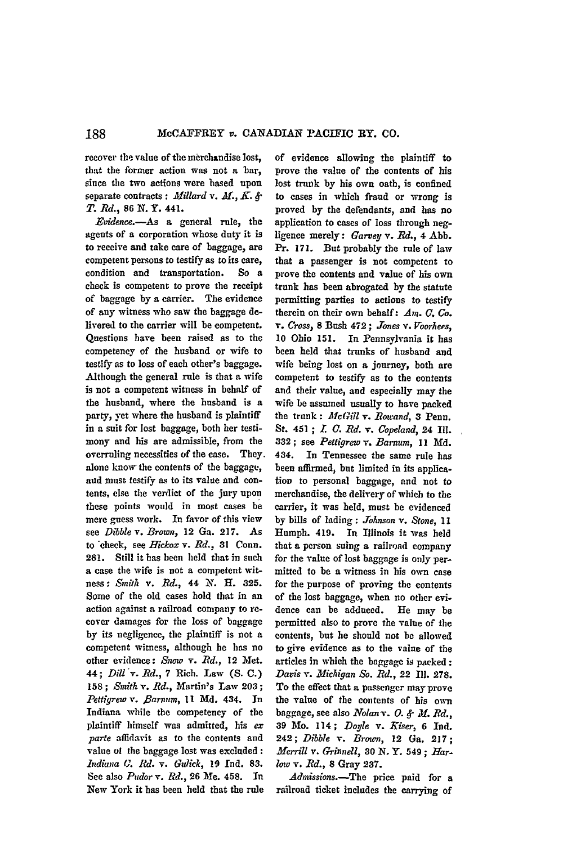recover the value of the merchandise lost, that the former action was not a bar, since the two actions were based upon separate contracts: *Millard v. M., K. § T. Rd.,* **86 N.** Y. 441.

*Evidence.-As* a general rule, the agents of a corporation whose duty it is to receive and take care of baggage, are competent persons to testify as to its care, condition and transportation. So **a** check is competent to prove the receipt of baggage **by** a carrier. The evidence of any witness who saw the baggage **de**livered to the carrier will be competent. Questions have been raised as to the competency of the husband or wife to testify as to loss of each other's baggage. Although the general rule is that a wife is not a competent witness in behalf of the husband, where the husband is a party, yet where the husband is plaintiff in a suit for lost baggage, both her testimony and his are admissible, from the overruling necessities of the case. They. alone know the contents of the **baggage, and** must testify as to its value and contents, else the verdict of the jury upon these points would in most cases be mere guess work. In favor of this view see *Dibble v. Brown,* 12 Ga. **217.** As to \*check, see *Hickox v. Rd.,* **31** Conn. 281. Still it has been held that in such a case the wife is not a competent witness: *Smith* v. *Rd.,* 44 **X.** H. **325.** Some of the old cases hold that in an action against a railroad company to recover damages for the loss of baggage **by** its negligence, the plaintiff is not a competent witness, although he has no other evidence: Snow v. Rd., 12 Met. **44;** *Dill v. Rd.,* 7 Rich. Law **(S. C.) 158 ;** *Smith v. Rd.,* Martin's Law **203 ;** *Pettigrew v. Barnum,* **11 Md.** 434. In Indiana while the competency of the plaintiff himself was admitted, his *ex parte* affidavit as to the contents and value **of** the baggage lost was excluded **:** *Indiana 0. Rd. v. Gulick,* **19** Ind. **83.** See also *Pador v. Rd.,* **26** Me. 458. In New York it has been held that the rule

of evidence allowing the plaintiff to prove the value of the contents of his lost trunk **by** his own oath, is confined to cases in which fraud or wrong is proved **by** the defendants, and has no application to cases of loss through negligence merely: *Garvey* v. *Rd.,* **4 Abb. Pr. 171.** But probably the rule of law that a passenger is not competent to prove the contents and value of his own trunk has been abrogated **by** the statute permitting parties to actions to testify therein on their own behalf: *Am. C. Co. v. Cross,* **8** Bush 472 **;** *Jones* **v.** *Joorhees,* **10** Ohio **151.** In Pennsylvania it has been held that trunks of husband and wife being lost on a journey, both are competent to testify as to the contents and their value, and especially may the wife be assumed usually to have packed the trunk: *McGill* v. *Rowand,* **3** Penn. St. 451 **;** *I C. Rd.* **v.** *Copeland,* 24 **Ill. 332 ;** see *Pettigrew v. Barnum,* **11 Md.** 434. In Tennessee the same rule has been affirmed, but limited in its application to personal baggage, and not to merchandise, the delivery of which to the carrier, it was held, must be evidenced by bills of lading: *Johnson v. Stone, 11* Humph. 419. In Illinois it was held that a person suing a railroad company for the value of lost baggage is only permitted to be a witness in his own case for the purpose of proving the contents of the lost baggage, when no other evidence can be adduced. He may **be** permitted also to prove the value of the contents, but he should not be allowed to give evidence as to the value of the articles in which the baggage is packed **:** *Davis v. Michigan So. Rd.,* **22 11. 278.** To the effect that a passenger may prove the value of the contents of his own baggage, see also *Nolan T. 0. 4- M. Rd.,* **39 Mo. 114 ;** *Doyle v. Kiser,* **6 Ind. 242;** *Dibble v. Brown,* **12** Ga. **217;** *Merrill v. Grinnell,* **30** *N.* Y. 549 **;** *Harlow* **v.** *Rd.,* **8 Gray 237.**

*Admissions.-The* price paid for a railroad ticket includes the carrying of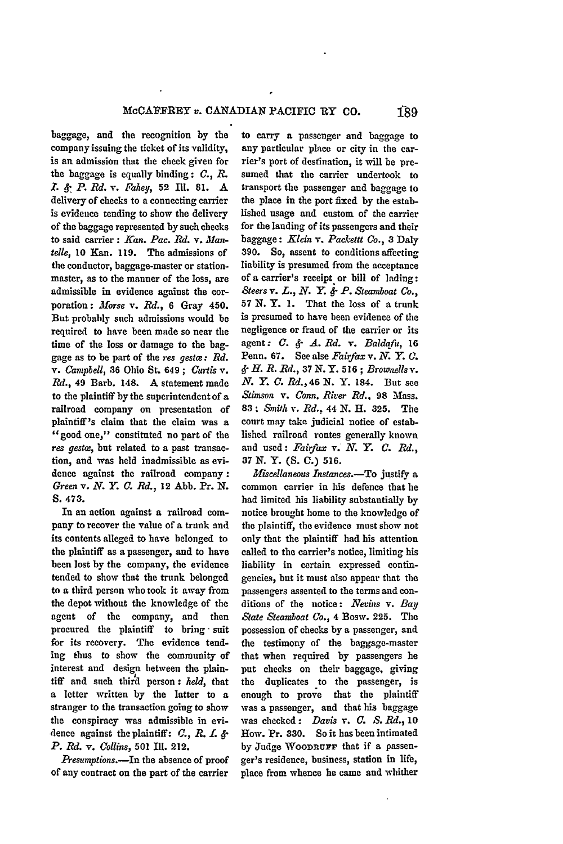baggage, and the recognition by the company issuing the ticket of its validity, is an. admission that the check given for the baggage is equally binding: **C.,** *R. F. 4: P. Rd. v. Fahey,* **52 111. 81.** A delivery of checks to a connecting carrier is evidence tending to show the delivery of the baggage represented by such checks to said carrier: *Kan. Pac. Rd. v. Mantelle,* 10 Kan. 119. The admissions of the conductor, baggage-master or stationmaster, as to the manner of the loss, are admissible in evidence against the corporation: *Morse* v. *Rd.,* **6** Gray 450. But probably such admissions would be required to have been made so near the time of the loss or damage to the baggage as to be part of the *res gesta*: Rd. *v. Campbell,* **36** Ohio St. **649 ;** *Curtis* v. *Rd.,* 49 Barb. 148. A statement made to the plaintiff by the superintendent of a railroad company on presentation of plaintiff's claim that the claim was a "good one," constituted no part of the *res gestce,* but related to a past transaction, and was held inadmissible as evidence against the railroad company **:** *Green v. N. Y. C. Rd.,* 12 Abb. Pr. **N.** S. 473.

In an action against a railroad company to recover the value of a trunk and its contents alleged to have belonged to the plaintiff as a passenger, and to have been lost **by** the company, the evidence tended to show that the trunk belonged to a third person who took it away from the depot without the knowledge of the agent of the company, and then procured the plaintiff to bring -suit **for** its recovery. The evidence tending thus to show the community of interest and design between the plaintiff and such third person: *hdd,* that a letter written **by** the latter to a stranger to the transaction going to show the conspiracy was admissible in evidence against the plaintiff: *C., R. L 4- P. Rd. v. Collins,* **501** Ill. 212.

*Presumptions.-In* the absence of proof of any contract on the part of the carrier

to carry a passenger and baggage to any particular place or city in the carrier's port of destination, it will be presumed that the carrier undertook to transport the passenger and baggage to the place in the port fixed **by** the established usage and custom of the carrier for the landing of its passengers and their baggage **:** *Klein v. Pack-ettt Co.,* **3** Daly **390.** So, assent to conditions affecting liability is presumed from the acceptance of a carrier's receipt or bill of lading: *Steers v. L., N. Y. 4- P. Steamboat Co.,* **57 N.** Y. **1.** That the loss of a trunk is presumed to have been evidence of the negligence or fraud of the carrier or its agent: *C. ,- A. Rd. v. Baldqfu,* **16** Penn. 67. See alse *Fairfax v. N. Y. C. 4-H. R.Rd.,* **37** *N.Y.* **516** ; *Brownellsv. N. Y. C. Rd.,46* **N.** Y. 184. But see *Stimson v. Conn. River Rd.,* **98** Mass. **83:** *Smith* v. *Rd..* 44 *N.* H. **325.** The court may take judicial notice of established railroad routes generally known and used: *Fairfax v. N. Y. C. Rd.,* **37 N.** Y. **(S. C.) 516.**

*Miscellaneous Instances.-To* justify **a** common carrier in his defence that he had limited his liability substantially **by** notice brought home to the knowledge of the plaintiff, the evidence must show not only that the plaintiff had his attention called to the carrier's notice, limiting his liability in certain expressed contingencies, but it must also appear that the passengers assented to the terms and conditions of the notice: *Nevins v. Bay State Steamboat Co.,* 4 Bosw. **225.** The possession of checks **by** a passenger, and the testimony of the baggage-master that when required by passengers he put checks on their baggage, giving the duplicates to the passenger, is enough to prove that the plaintiff was a passenger, and that his baggage was checked **:** *Davis* v. *C. S. Rd.,* 10 How. Pr. **330.** So it has been intimated by Judge WOODRUFF that if a passenger's residence, business, station in life, place from whence he came and whither

189